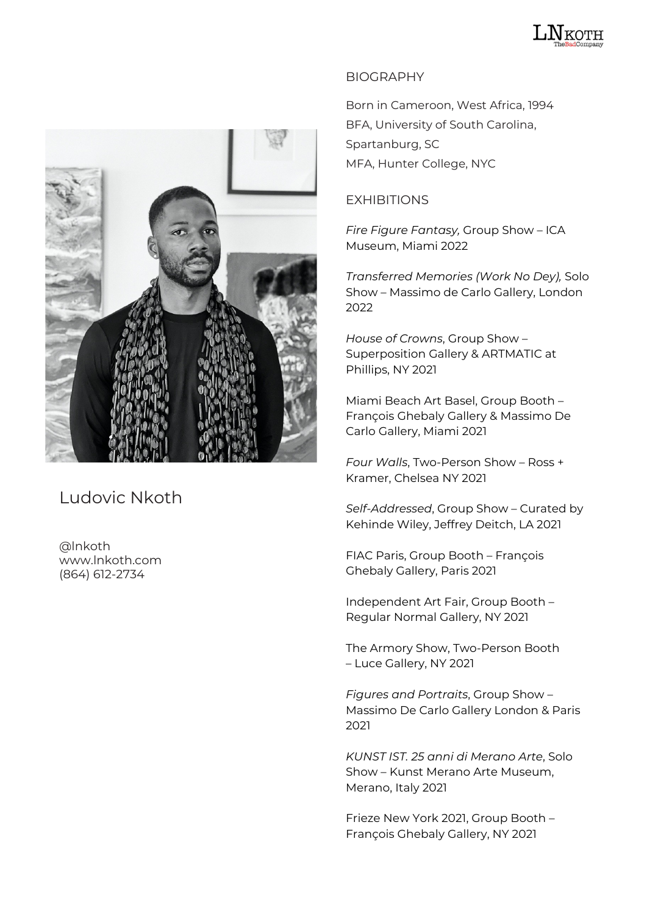



## Ludovic Nkoth

@lnkoth www.lnkoth.com (864) 612-2734

## BIOGRAPHY

Born in Cameroon, West Africa, 1994 BFA, University of South Carolina, Spartanburg, SC MFA, Hunter College, NYC

## EXHIBITIONS

*Fire Figure Fantasy,* Group Show – ICA Museum, Miami 2022

*Transferred Memories (Work No Dey),* Solo Show – Massimo de Carlo Gallery, London 2022

*House of Crowns*, Group Show – Superposition Gallery & ARTMATIC at Phillips, NY 2021

Miami Beach Art Basel, Group Booth – François Ghebaly Gallery & Massimo De Carlo Gallery, Miami 2021

*Four Walls*, Two-Person Show – Ross + Kramer, Chelsea NY 2021

*Self-Addressed*, Group Show – Curated by Kehinde Wiley, Jeffrey Deitch, LA 2021

FIAC Paris, Group Booth – François Ghebaly Gallery, Paris 2021

Independent Art Fair, Group Booth – Regular Normal Gallery, NY 2021

The Armory Show, Two-Person Booth – Luce Gallery, NY 2021

*Figures and Portraits*, Group Show – Massimo De Carlo Gallery London & Paris 2021

*KUNST IST. 25 anni di Merano Arte*, Solo Show – Kunst Merano Arte Museum, Merano, Italy 2021

Frieze New York 2021, Group Booth – François Ghebaly Gallery, NY 2021